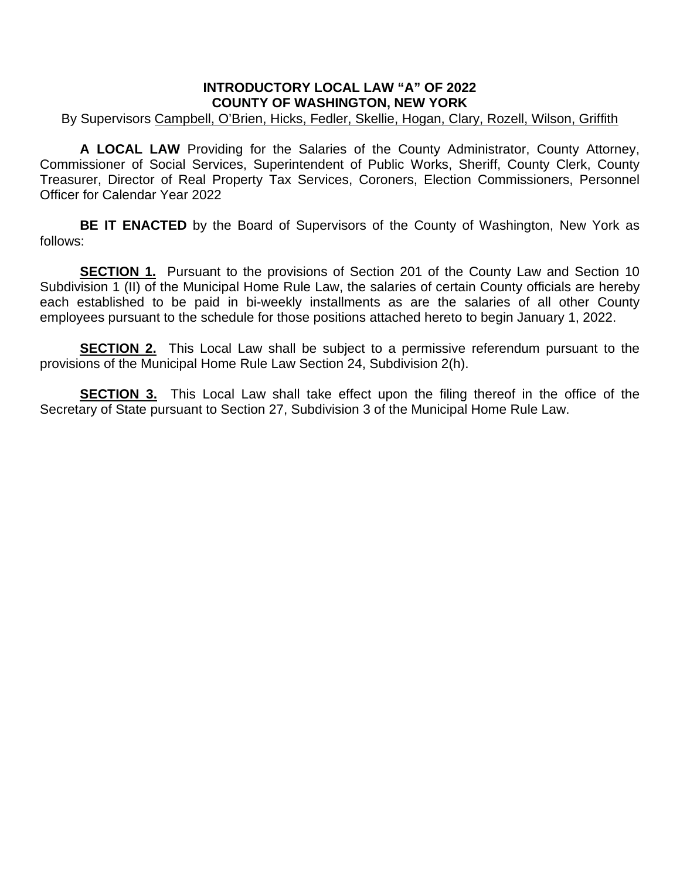## **INTRODUCTORY LOCAL LAW "A" OF 2022 COUNTY OF WASHINGTON, NEW YORK**

## By Supervisors Campbell, O'Brien, Hicks, Fedler, Skellie, Hogan, Clary, Rozell, Wilson, Griffith

**A LOCAL LAW** Providing for the Salaries of the County Administrator, County Attorney, Commissioner of Social Services, Superintendent of Public Works, Sheriff, County Clerk, County Treasurer, Director of Real Property Tax Services, Coroners, Election Commissioners, Personnel Officer for Calendar Year 2022

**BE IT ENACTED** by the Board of Supervisors of the County of Washington, New York as follows:

**SECTION 1.** Pursuant to the provisions of Section 201 of the County Law and Section 10 Subdivision 1 (II) of the Municipal Home Rule Law, the salaries of certain County officials are hereby each established to be paid in bi-weekly installments as are the salaries of all other County employees pursuant to the schedule for those positions attached hereto to begin January 1, 2022.

**SECTION 2.** This Local Law shall be subject to a permissive referendum pursuant to the provisions of the Municipal Home Rule Law Section 24, Subdivision 2(h).

**SECTION 3.** This Local Law shall take effect upon the filing thereof in the office of the Secretary of State pursuant to Section 27, Subdivision 3 of the Municipal Home Rule Law.